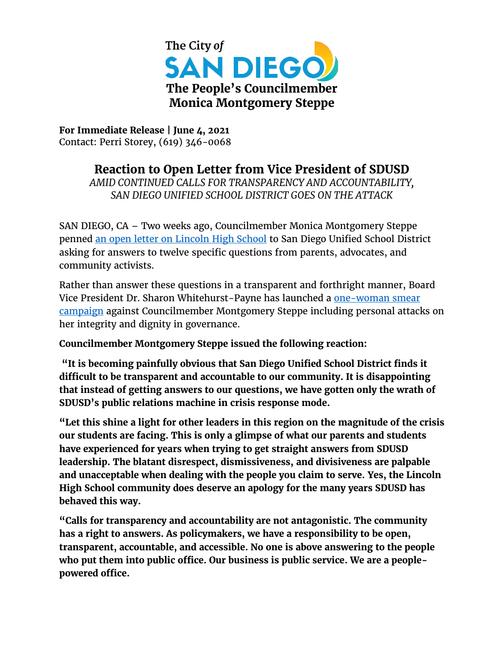

**For Immediate Release | June 4, 2021** Contact: Perri Storey, (619) 346-0068

**Reaction to Open Letter from Vice President of SDUSD**

*AMID CONTINUED CALLS FOR TRANSPARENCY AND ACCOUNTABILITY, SAN DIEGO UNIFIED SCHOOL DISTRICT GOES ON THE ATTACK*

SAN DIEGO, CA – Two weeks ago, Councilmember Monica Montgomery Steppe penned [an open letter on Lincoln High School](https://www.sandiego.gov/sites/default/files/051921-open-letter-on-lincoln-high-school.pdf) to San Diego Unified School District asking for answers to twelve specific questions from parents, advocates, and community activists.

Rather than answer these questions in a transparent and forthright manner, Board Vice President Dr. Sharon Whitehurst-Payne has launched a one-woman smear [campaign](https://www.voiceofsandiego.org/wp-content/uploads/2021/06/Open-Letter-to-Monica-Montgomery-Steppe-6-3-21-1.pdf) against Councilmember Montgomery Steppe including personal attacks on her integrity and dignity in governance.

**Councilmember Montgomery Steppe issued the following reaction:**

**"It is becoming painfully obvious that San Diego Unified School District finds it difficult to be transparent and accountable to our community. It is disappointing that instead of getting answers to our questions, we have gotten only the wrath of SDUSD's public relations machine in crisis response mode.**

**"Let this shine a light for other leaders in this region on the magnitude of the crisis our students are facing. This is only a glimpse of what our parents and students have experienced for years when trying to get straight answers from SDUSD leadership. The blatant disrespect, dismissiveness, and divisiveness are palpable and unacceptable when dealing with the people you claim to serve. Yes, the Lincoln High School community does deserve an apology for the many years SDUSD has behaved this way.**

**"Calls for transparency and accountability are not antagonistic. The community has a right to answers. As policymakers, we have a responsibility to be open, transparent, accountable, and accessible. No one is above answering to the people who put them into public office. Our business is public service. We are a peoplepowered office.**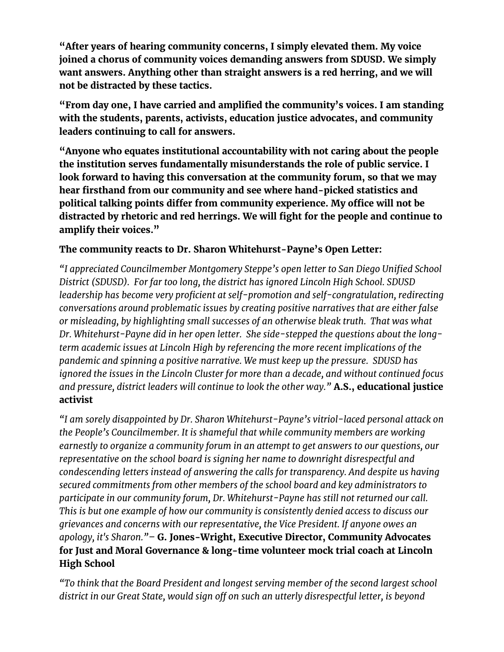**"After years of hearing community concerns, I simply elevated them. My voice joined a chorus of community voices demanding answers from SDUSD. We simply want answers. Anything other than straight answers is a red herring, and we will not be distracted by these tactics.**

**"From day one, I have carried and amplified the community's voices. I am standing with the students, parents, activists, education justice advocates, and community leaders continuing to call for answers.** 

**"Anyone who equates institutional accountability with not caring about the people the institution serves fundamentally misunderstands the role of public service. I look forward to having this conversation at the community forum, so that we may hear firsthand from our community and see where hand-picked statistics and political talking points differ from community experience. My office will not be distracted by rhetoric and red herrings. We will fight for the people and continue to amplify their voices."**

## **The community reacts to Dr. Sharon Whitehurst-Payne's Open Letter:**

*"I appreciated Councilmember Montgomery Steppe's open letter to San Diego Unified School District (SDUSD). For far too long, the district has ignored Lincoln High School. SDUSD leadership has become very proficient at self-promotion and self-congratulation, redirecting conversations around problematic issues by creating positive narratives that are either false or misleading, by highlighting small successes of an otherwise bleak truth. That was what Dr. Whitehurst-Payne did in her open letter. She side-stepped the questions about the longterm academic issues at Lincoln High by referencing the more recent implications of the pandemic and spinning a positive narrative. We must keep up the pressure. SDUSD has ignored the issues in the Lincoln Cluster for more than a decade, and without continued focus and pressure, district leaders will continue to look the other way."* **A.S., educational justice activist**

*"I am sorely disappointed by Dr. Sharon Whitehurst-Payne's vitriol-laced personal attack on the People's Councilmember. It is shameful that while community members are working earnestly to organize a community forum in an attempt to get answers to our questions, our representative on the school board is signing her name to downright disrespectful and condescending letters instead of answering the calls for transparency. And despite us having secured commitments from other members of the school board and key administrators to participate in our community forum, Dr. Whitehurst-Payne has still not returned our call. This is but one example of how our community is consistently denied access to discuss our grievances and concerns with our representative, the Vice President. If anyone owes an apology, it's Sharon."–* **G. Jones-Wright, Executive Director, Community Advocates for Just and Moral Governance & long-time volunteer mock trial coach at Lincoln High School**

*"To think that the Board President and longest serving member of the second largest school district in our Great State, would sign off on such an utterly disrespectful letter, is beyond*